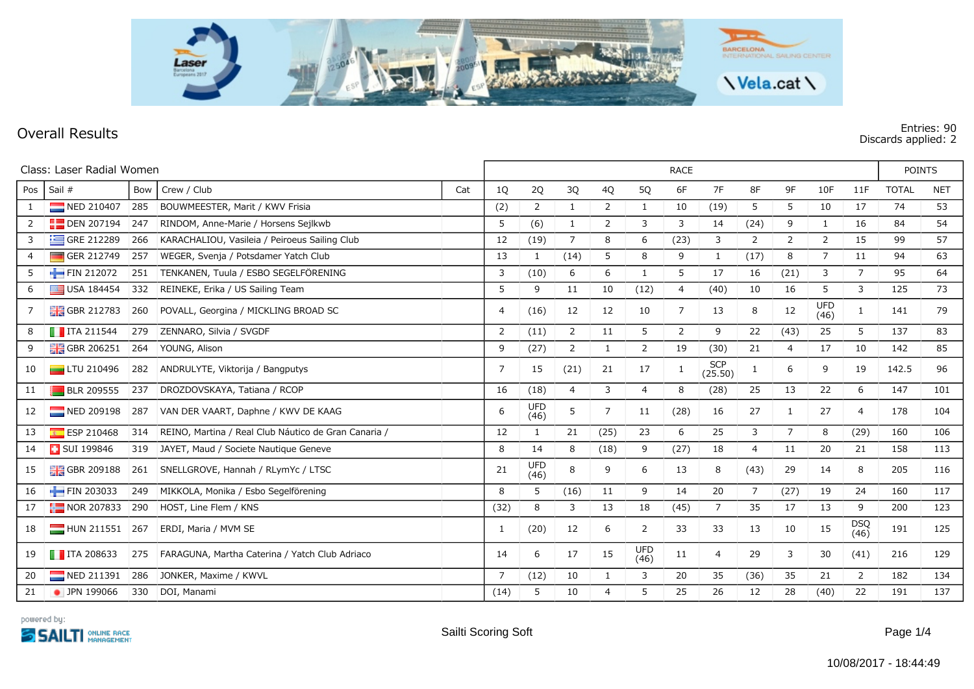

## **Overall Results Entries: 90 Discards applied: 2**

| Class: Laser Radial Women |                              |     |                                                      |           | <b>RACE</b> |                    |                |                |                    |                |                       |                |                |                    |                | <b>POINTS</b> |            |  |
|---------------------------|------------------------------|-----|------------------------------------------------------|-----------|-------------|--------------------|----------------|----------------|--------------------|----------------|-----------------------|----------------|----------------|--------------------|----------------|---------------|------------|--|
| Pos                       | Sail #                       | Bow | Crew / Club                                          | 1Q<br>Cat |             | 2Q                 | 3Q             | 4Q             | 5Q                 | 6F             | 7F                    | 8F             | 9F             | 10F                | 11F            | <b>TOTAL</b>  | <b>NET</b> |  |
|                           | NED 210407                   | 285 | BOUWMEESTER, Marit / KWV Frisia                      | (2)       |             | 2                  | $\mathbf{1}$   | 2              | $\mathbf{1}$       | 10             | (19)                  | 5              | 5              | 10                 | 17             | 74            | 53         |  |
| 2                         | <b>DEN 207194</b>            | 247 | RINDOM, Anne-Marie / Horsens Sejlkwb                 | 5         |             | (6)                | $\mathbf{1}$   | $\overline{2}$ | 3                  | 3              | 14                    | (24)           | 9              | $\mathbf{1}$       | 16             | 84            | 54         |  |
| 3                         | $\equiv$ GRE 212289          | 266 | KARACHALIOU, Vasileia / Peiroeus Sailing Club        | 12        |             | (19)               | $\overline{7}$ | 8              | 6                  | (23)           | 3                     | 2              | 2              | $\overline{2}$     | 15             | 99            | 57         |  |
| 4                         | GER 212749                   | 257 | WEGER, Svenja / Potsdamer Yatch Club                 | 13        |             | 1                  | (14)           | 5              | 8                  | 9              | 1                     | (17)           | 8              | $\overline{7}$     | 11             | 94            | 63         |  |
| 5                         | FIN 212072                   | 251 | TENKANEN, Tuula / ESBO SEGELFÖRENING                 | 3         |             | (10)               | 6              | 6              | 1                  | 5              | 17                    | 16             | (21)           | 3                  | $\overline{7}$ | 95            | 64         |  |
| 6                         | $\Box$ USA 184454            | 332 | REINEKE, Erika / US Sailing Team                     | 5         |             | 9                  | 11             | 10             | (12)               | $\overline{4}$ | (40)                  | 10             | 16             | 5                  | 3              | 125           | 73         |  |
| 7                         | <b>H</b> GBR 212783          | 260 | POVALL, Georgina / MICKLING BROAD SC                 | 4         |             | (16)               | 12             | 12             | 10                 | $\overline{7}$ | 13                    | 8              | 12             | <b>UFD</b><br>(46) |                | 141           | 79         |  |
| 8                         | $\blacksquare$ ITA 211544    | 279 | ZENNARO, Silvia / SVGDF                              | 2         |             | (11)               | 2              | 11             | 5                  | 2              | 9                     | 22             | (43)           | 25                 | 5              | 137           | 83         |  |
| 9                         | $\frac{1}{200}$ GBR 206251   | 264 | YOUNG, Alison                                        | 9         |             | (27)               | $\overline{2}$ | 1              | $\overline{2}$     | 19             | (30)                  | 21             | 4              | 17                 | 10             | 142           | 85         |  |
| 10                        | $L$ TU 210496                | 282 | ANDRULYTE, Viktorija / Bangputys                     | 7         |             | 15                 | (21)           | 21             | 17                 | 1              | <b>SCP</b><br>(25.50) | 1              | 6              | 9                  | 19             | 142.5         | 96         |  |
| 11                        | <b>BLR 209555</b>            | 237 | DROZDOVSKAYA, Tatiana / RCOP                         | 16        |             | (18)               | $\overline{4}$ | 3              | $\overline{4}$     | 8              | (28)                  | 25             | 13             | 22                 | 6              | 147           | 101        |  |
| 12                        | NED 209198                   | 287 | VAN DER VAART, Daphne / KWV DE KAAG                  | 6         |             | <b>UFD</b><br>(46) | 5              | 7              | 11                 | (28)           | 16                    | 27             | 1              | 27                 | 4              | 178           | 104        |  |
| 13                        | ESP 210468                   | 314 | REINO, Martina / Real Club Náutico de Gran Canaria / | 12        |             | 1                  | 21             | (25)           | 23                 | 6              | 25                    | 3              | $\overline{7}$ | 8                  | (29)           | 160           | 106        |  |
| 14                        | <b>B</b> SUI 199846          | 319 | JAYET, Maud / Societe Nautique Geneve                | 8         |             | 14                 | 8              | (18)           | 9                  | (27)           | 18                    | 4              | 11             | 20                 | 21             | 158           | 113        |  |
| 15                        | <b>H</b> GBR 209188          | 261 | SNELLGROVE, Hannah / RLymYc / LTSC                   | 21        |             | <b>UFD</b><br>(46) | 8              | 9              | 6                  | 13             | 8                     | (43)           | 29             | 14                 | 8              | 205           | 116        |  |
| 16                        | $-$ FIN 203033               | 249 | MIKKOLA, Monika / Esbo Segelförening                 | 8         |             | 5                  | (16)           | 11             | 9                  | 14             | 20                    | $\overline{7}$ | (27)           | 19                 | 24             | 160           | 117        |  |
| 17                        | $\frac{1}{2}$ NOR 207833 290 |     | HÖST, Line Flem / KNS                                | (32)      |             | 8                  | 3              | 13             | 18                 | (45)           | 7                     | 35             | 17             | 13                 | 9              | 200           | 123        |  |
| 18                        | $\blacksquare$ HUN 211551    | 267 | ERDI, Maria / MVM SE                                 | -1        |             | (20)               | 12             | 6              | 2                  | 33             | 33                    | 13             | 10             | 15                 | DSQ<br>(46)    | 191           | 125        |  |
| 19                        | $\blacksquare$ ITA 208633    | 275 | FARAGUNA, Martha Caterina / Yatch Club Adriaco       | 14        |             | 6                  | 17             | 15             | <b>UFD</b><br>(46) | 11             | 4                     | 29             | 3              | 30                 | (41)           | 216           | 129        |  |
| 20                        | NED 211391                   | 286 | JONKER, Maxime / KWVL                                | 7         |             | (12)               | 10             |                | 3                  | 20             | 35                    | (36)           | 35             | 21                 | $\overline{2}$ | 182           | 134        |  |
| 21                        | • JPN 199066                 | 330 | DOI, Manami                                          | (14)      |             | 5                  | 10             | $\overline{4}$ | 5                  | 25             | 26                    | 12             | 28             | (40)               | 22             | 191           | 137        |  |

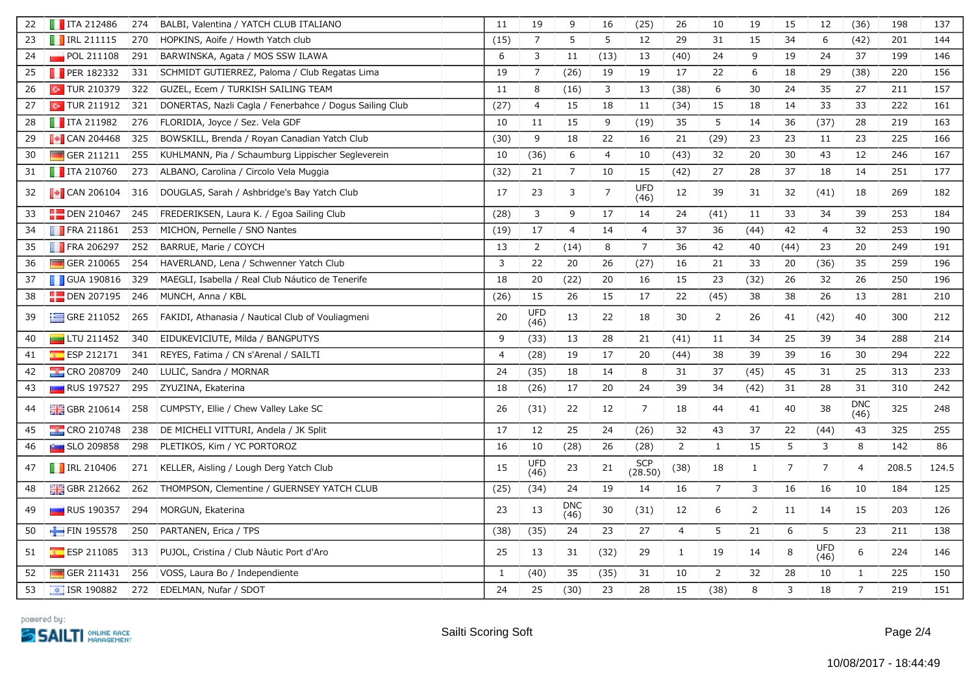| 22 | $\blacksquare$ ITA 212486     | 274 | BALBI, Valentina / YATCH CLUB ITALIANO                  | 11             | 19                 | 9                  | 16   | (25)                  | 26             | 10             | 19             | 15             | 12                 | (36)           | 198   | 137   |
|----|-------------------------------|-----|---------------------------------------------------------|----------------|--------------------|--------------------|------|-----------------------|----------------|----------------|----------------|----------------|--------------------|----------------|-------|-------|
| 23 | $\blacksquare$ IRL 211115     | 270 | HOPKINS, Aoife / Howth Yatch club                       | (15)           | $\overline{7}$     | 5                  | 5    | $12$                  | 29             | 31             | 15             | 34             | 6                  | (42)           | 201   | 144   |
| 24 | POL 211108                    | 291 | BARWINSKA, Agata / MOS SSW ILAWA                        | 6              | 3                  | 11                 | (13) | 13                    | (40)           | 24             | 9              | 19             | 24                 | 37             | 199   | 146   |
| 25 | <b>PER 182332</b>             | 331 | SCHMIDT GUTIERREZ, Paloma / Club Regatas Lima           | 19             | $\overline{7}$     | (26)               | 19   | 19                    | 17             | 22             | 6              | 18             | 29                 | (38)           | 220   | 156   |
| 26 | $\boxed{\text{c}}$ TUR 210379 | 322 | GUZEL, Ecem / TURKISH SAILING TEAM                      | 11             | 8                  | (16)               | 3    | 13                    | (38)           | 6              | 30             | 24             | 35                 | 27             | 211   | 157   |
| 27 | $\boxed{\bullet}$ TUR 211912  | 321 | DONERTAS, Nazli Cagla / Fenerbahce / Dogus Sailing Club | (27)           | $\overline{4}$     | 15                 | 18   | 11                    | (34)           | 15             | 18             | 14             | 33                 | 33             | 222   | 161   |
| 28 | $\blacksquare$ ITA 211982     | 276 | FLORIDIA, Joyce / Sez. Vela GDF                         | 10             | 11                 | 15                 | 9    | (19)                  | 35             | 5              | 14             | 36             | (37)               | 28             | 219   | 163   |
| 29 | $\blacksquare$ CAN 204468     | 325 | BOWSKILL, Brenda / Royan Canadian Yatch Club            | (30)           | 9                  | 18                 | 22   | 16                    | 21             | (29)           | 23             | 23             | 11                 | 23             | 225   | 166   |
| 30 | $\Box$ GER 211211             | 255 | KUHLMANN, Pia / Schaumburg Lippischer Segleverein       | 10             | (36)               | 6                  | 4    | 10                    | (43)           | 32             | 20             | 30             | 43                 | 12             | 246   | 167   |
| 31 | $\blacksquare$ ITA 210760     | 273 | ALBANO, Carolina / Circolo Vela Muggia                  | (32)           | 21                 | $\overline{7}$     | $10$ | 15                    | (42)           | 27             | 28             | 37             | 18                 | 14             | 251   | 177   |
| 32 | $\sim$ CAN 206104             | 316 | DOUGLAS, Sarah / Ashbridge's Bay Yatch Club             | 17             | 23                 | 3                  | 7    | UFD<br>(46)           | 12             | 39             | 31             | 32             | (41)               | 18             | 269   | 182   |
| 33 | $\Box$ DEN 210467             | 245 | FREDERIKSEN, Laura K. / Egoa Sailing Club               | (28)           | 3                  | 9                  | 17   | 14                    | 24             | (41)           | 11             | 33             | 34                 | 39             | 253   | 184   |
| 34 | FRA 211861                    | 253 | MICHON, Pernelle / SNO Nantes                           | (19)           | 17                 | $\overline{4}$     | 14   | $\overline{4}$        | 37             | 36             | (44)           | 42             | 4                  | 32             | 253   | 190   |
| 35 | <b>FRA 206297</b>             | 252 | BARRUE, Marie / COYCH                                   | 13             | $\overline{2}$     | (14)               | 8    | $\overline{7}$        | 36             | 42             | 40             | (44)           | 23                 | 20             | 249   | 191   |
| 36 | GER 210065                    | 254 | HAVERLAND, Lena / Schwenner Yatch Club                  | 3              | 22                 | 20                 | 26   | (27)                  | 16             | 21             | 33             | 20             | (36)               | 35             | 259   | 196   |
| 37 | <b>GUA 190816</b>             | 329 | MAEGLI, Isabella / Real Club Náutico de Tenerife        | 18             | 20                 | (22)               | 20   | 16                    | 15             | 23             | (32)           | 26             | 32                 | 26             | 250   | 196   |
| 38 | $\Box$ DEN 207195             | 246 | MUNCH, Anna / KBL                                       | (26)           | 15                 | 26                 | 15   | 17                    | 22             | (45)           | 38             | 38             | 26                 | 13             | 281   | 210   |
| 39 | $\equiv$ GRE 211052           | 265 | FAKIDI, Athanasia / Nautical Club of Vouliagmeni        | 20             | <b>UFD</b><br>(46) | 13                 | 22   | 18                    | 30             | $\overline{2}$ | 26             | 41             | (42)               | 40             | 300   | 212   |
| 40 | $\blacksquare$ LTU 211452     | 340 | EIDUKEVICIUTE, Milda / BANGPUTYS                        | 9              | (33)               | 13                 | 28   | 21                    | (41)           | 11             | 34             | 25             | 39                 | 34             | 288   | 214   |
| 41 | ESP 212171                    | 341 | REYES, Fatima / CN s'Arenal / SAILTI                    | $\overline{4}$ | (28)               | 19                 | 17   | 20                    | (44)           | 38             | 39             | 39             | 16                 | 30             | 294   | 222   |
| 42 | <b>CRO 208709</b>             | 240 | LULIC, Sandra / MORNAR                                  | 24             | (35)               | 18                 | 14   | 8                     | 31             | 37             | (45)           | 45             | 31                 | 25             | 313   | 233   |
| 43 | <b>RUS 197527</b>             | 295 | ZYUZINA, Ekaterina                                      | 18             | (26)               | 17                 | 20   | 24                    | 39             | 34             | (42)           | 31             | 28                 | 31             | 310   | 242   |
| 44 | <b>H</b> GBR 210614           | 258 | CUMPSTY, Ellie / Chew Valley Lake SC                    | 26             | (31)               | 22                 | 12   | $\overline{7}$        | 18             | 44             | 41             | 40             | 38                 | DNC<br>(46)    | 325   | 248   |
| 45 | <b>CRO 210748</b>             | 238 | DE MICHELI VITTURI, Andela / JK Split                   | 17             | 12                 | 25                 | 24   | (26)                  | 32             | 43             | 37             | 22             | (44)               | 43             | 325   | 255   |
| 46 | <b>External SLO 209858</b>    | 298 | PLETIKOS, Kim / YC PORTOROZ                             | 16             | 10                 | (28)               | 26   | (28)                  | $\overline{2}$ | $\mathbf{1}$   | 15             | 5              | 3                  | 8              | 142   | 86    |
| 47 | $\blacksquare$ IRL 210406     | 271 | KELLER, Aisling / Lough Derg Yatch Club                 | 15             | <b>UFD</b><br>(46) | 23                 | 21   | <b>SCP</b><br>(28.50) | (38)           | 18             | 1              | $\overline{7}$ | $\overline{7}$     | $\overline{4}$ | 208.5 | 124.5 |
| 48 | <b>H</b> GBR 212662           | 262 | THOMPSON, Clementine / GUERNSEY YATCH CLUB              | (25)           | (34)               | 24                 | 19   | 14                    | 16             | $\overline{7}$ | $\mathbf{3}$   | 16             | 16                 | 10             | 184   | 125   |
| 49 | $\Box$ RUS 190357             | 294 | MORGUN, Ekaterina                                       | 23             | 13                 | <b>DNC</b><br>(46) | 30   | (31)                  | 12             | 6              | $\overline{2}$ | 11             | 14                 | 15             | 203   | 126   |
| 50 | FIN 195578                    | 250 | PARTANEN, Erica / TPS                                   | (38)           | (35)               | 24                 | 23   | 27                    | $\overline{4}$ | 5              | 21             | 6              | 5                  | 23             | 211   | 138   |
| 51 | <b>ESP 211085</b>             | 313 | PUJOL, Cristina / Club Nàutic Port d'Aro                | 25             | 13                 | 31                 | (32) | 29                    | $\mathbf{1}$   | 19             | 14             | 8              | <b>UFD</b><br>(46) | 6              | 224   | 146   |
| 52 | GER 211431                    | 256 | VOSS, Laura Bo / Independiente                          | $\mathbf{1}$   | (40)               | 35                 | (35) | 31                    | 10             | $\overline{2}$ | 32             | 28             | 10                 | $\mathbf{1}$   | 225   | 150   |
| 53 | $\sqrt{15}$ ISR 190882        | 272 | EDELMAN, Nufar / SDOT                                   | 24             | 25                 | (30)               | 23   | 28                    | 15             | (38)           | 8              | 3              | 18                 | $\overline{7}$ | 219   | 151   |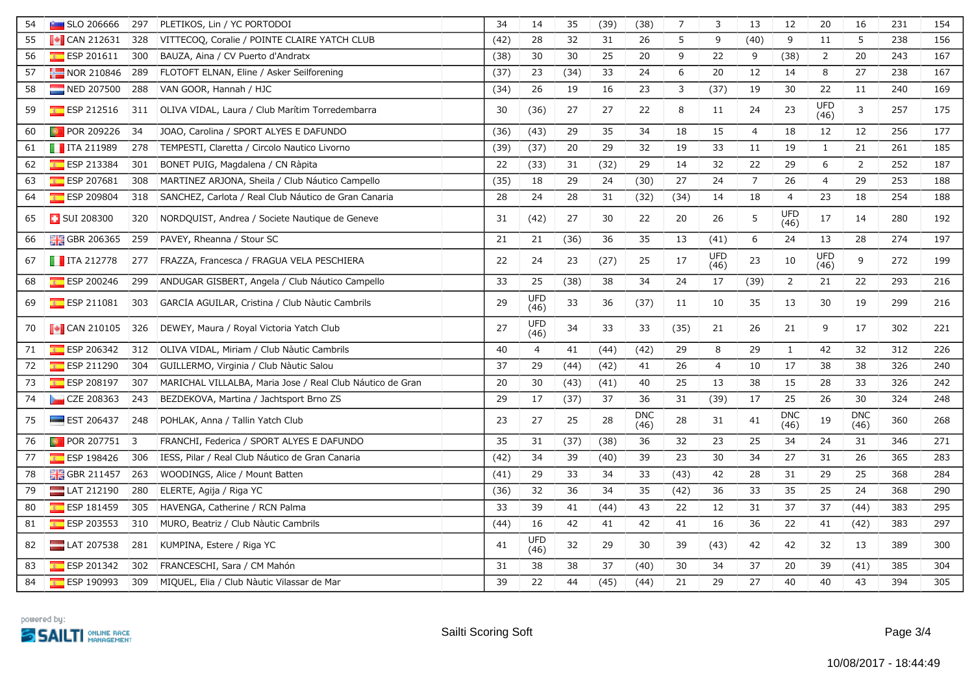| 54 | $\blacksquare$ SLO 206666 | 297       | PLETIKOS, Lin / YC PORTODOI                               | 34   | 14                 | 35   | (39) | (38)               | $\overline{7}$ | 3                  | 13             | 12                 | 20                 | 16                 | 231 | 154 |
|----|---------------------------|-----------|-----------------------------------------------------------|------|--------------------|------|------|--------------------|----------------|--------------------|----------------|--------------------|--------------------|--------------------|-----|-----|
| 55 | $\blacksquare$ CAN 212631 | 328       | VITTECOQ, Coralie / POINTE CLAIRE YATCH CLUB              | (42) | 28                 | 32   | 31   | 26                 | 5              | 9                  | (40)           | 9                  | 11                 | 5                  | 238 | 156 |
| 56 | ESP 201611                | 300       | BAUZA, Aina / CV Puerto d'Andratx                         | (38) | 30                 | 30   | 25   | 20                 | 9              | 22                 | 9              | (38)               | $\overline{2}$     | 20                 | 243 | 167 |
| 57 | $NOR$ 210846              | 289       | FLOTOFT ELNAN, Eline / Asker Seilforening                 | (37) | 23                 | (34) | 33   | 24                 | 6              | 20                 | 12             | 14                 | 8                  | 27                 | 238 | 167 |
| 58 | NED 207500                | 288       | VAN GOOR, Hannah / HJC                                    | (34) | 26                 | 19   | 16   | 23                 | 3              | (37)               | 19             | 30                 | 22                 | 11                 | 240 | 169 |
| 59 | $ESP$ 212516              |           | 311 OLIVA VIDAL, Laura / Club Marítim Torredembarra       | 30   | (36)               | 27   | 27   | 22                 | 8              | 11                 | 24             | 23                 | UFD<br>(46)        | 3                  | 257 | 175 |
| 60 | <b>D</b> POR 209226       | 34        | JOAO, Carolina / SPORT ALYES E DAFUNDO                    | (36) | (43)               | 29   | 35   | 34                 | 18             | 15                 | $\overline{4}$ | 18                 | 12                 | 12                 | 256 | 177 |
| 61 | $\blacksquare$ ITA 211989 | 278       | TEMPESTI, Claretta / Circolo Nautico Livorno              | (39) | (37)               | 20   | 29   | 32                 | 19             | 33                 | 11             | 19                 | $\mathbf{1}$       | 21                 | 261 | 185 |
| 62 | ESP 213384                | 301       | BONET PUIG, Magdalena / CN Ràpita                         | 22   | (33)               | 31   | (32) | 29                 | 14             | 32                 | 22             | 29                 | 6                  | $\overline{2}$     | 252 | 187 |
| 63 | ESP 207681                | 308       | MARTÍNEZ ARJONA, Sheila / Club Náutico Campello           | (35) | 18                 | 29   | 24   | (30)               | 27             | 24                 | $\overline{7}$ | 26                 | $\overline{4}$     | 29                 | 253 | 188 |
| 64 | ESP 209804                | 318       | SANCHEZ, Carlota / Real Club Náutico de Gran Canaria      | 28   | 24                 | 28   | 31   | (32)               | (34)           | 14                 | 18             | $\overline{4}$     | 23                 | 18                 | 254 | 188 |
| 65 | <b>B</b> SUI 208300       | 320       | NORDQUIST, Andrea / Societe Nautique de Geneve            | 31   | (42)               | 27   | 30   | 22                 | 20             | 26                 | 5              | UFD<br>(46)        | 17                 | 14                 | 280 | 192 |
| 66 | GBR 206365                | 259       | PAVEY, Rheanna / Stour SC                                 | 21   | 21                 | (36) | 36   | 35                 | 13             | (41)               | 6              | 24                 | 13                 | 28                 | 274 | 197 |
| 67 | $\blacksquare$ ITA 212778 | 277       | FRAZZA, Francesca / FRAGUA VELA PESCHIERA                 | 22   | 24                 | 23   | (27) | 25                 | 17             | <b>UFD</b><br>(46) | 23             | 10                 | <b>UFD</b><br>(46) | 9                  | 272 | 199 |
| 68 | ESP 200246                | 299       | ANDUGAR GISBERT, Angela / Club Náutico Campello           | 33   | 25                 | (38) | 38   | 34                 | 24             | 17                 | (39)           | $\overline{2}$     | 21                 | 22                 | 293 | 216 |
| 69 | $E$ ESP 211081            | 303       | GARCÍA AGUILAR, Cristina / Club Nàutic Cambrils           | 29   | UFD<br>(46)        | 33   | 36   | (37)               | 11             | 10                 | 35             | 13                 | 30                 | 19                 | 299 | 216 |
| 70 | $\sim$ CAN 210105         | 326       | DEWEY, Maura / Royal Victoria Yatch Club                  | 27   | <b>UFD</b><br>(46) | 34   | 33   | 33                 | (35)           | 21                 | 26             | 21                 | 9                  | 17                 | 302 | 221 |
| 71 | ESP 206342                | 312       | OLIVA VIDAL, Miriam / Club Nàutic Cambrils                | 40   | $\overline{4}$     | 41   | (44) | (42)               | 29             | 8                  | 29             | $\mathbf{1}$       | 42                 | 32                 | 312 | 226 |
| 72 | ESP 211290                | 304       | GUILLERMO, Virginia / Club Nàutic Salou                   | 37   | 29                 | (44) | (42) | 41                 | 26             | $\overline{4}$     | 10             | 17                 | 38                 | 38                 | 326 | 240 |
| 73 | ESP 208197                | 307       | MARICHAL VILLALBA, Maria Jose / Real Club Náutico de Gran | 20   | 30                 | (43) | (41) | 40                 | 25             | 13                 | 38             | 15                 | 28                 | 33                 | 326 | 242 |
| 74 | CZE 208363                | 243       | BEZDEKOVA, Martina / Jachtsport Brno ZS                   | 29   | 17                 | (37) | 37   | 36                 | 31             | (39)               | 17             | 25                 | 26                 | 30                 | 324 | 248 |
| 75 | $\equiv$ EST 206437       | 248       | POHLAK, Anna / Tallin Yatch Club                          | 23   | 27                 | 25   | 28   | <b>DNC</b><br>(46) | 28             | 31                 | 41             | <b>DNC</b><br>(46) | 19                 | <b>DNC</b><br>(46) | 360 | 268 |
| 76 | <b>D</b> POR 207751       | $\vert$ 3 | FRANCHI, Federica / SPORT ALYES E DAFUNDO                 | 35   | 31                 | (37) | (38) | 36                 | 32             | 23                 | 25             | 34                 | 24                 | 31                 | 346 | 271 |
| 77 | ESP 198426                | 306       | IESS, Pilar / Real Club Náutico de Gran Canaria           | (42) | 34                 | 39   | (40) | 39                 | 23             | 30                 | 34             | 27                 | 31                 | 26                 | 365 | 283 |
| 78 | <b>HE GBR 211457</b>      | 263       | WOODINGS, Alice / Mount Batten                            | (41) | 29                 | 33   | 34   | 33                 | (43)           | 42                 | 28             | 31                 | 29                 | 25                 | 368 | 284 |
| 79 | LAT 212190                | 280       | ELERTE, Agija / Riga YC                                   | (36) | 32                 | 36   | 34   | 35                 | (42)           | 36                 | 33             | 35                 | 25                 | 24                 | 368 | 290 |
| 80 | $E$ ESP 181459            | 305       | HAVENGA, Catherine / RCN Palma                            | 33   | 39                 | 41   | (44) | 43                 | 22             | 12                 | 31             | 37                 | 37                 | (44)               | 383 | 295 |
| 81 | $E = ESP 203553$          | 310       | MURO, Beatriz / Club Nàutic Cambrils                      | (44) | 16                 | 42   | 41   | 42                 | 41             | 16                 | 36             | 22                 | 41                 | (42)               | 383 | 297 |
| 82 | $LAT$ 207538              | 281       | KUMPINA, Estere / Riga YC                                 | 41   | UFD<br>(46)        | 32   | 29   | 30                 | 39             | (43)               | 42             | 42                 | 32                 | 13                 | 389 | 300 |
| 83 | $E$ ESP 201342            | 302       | FRANCESCHI, Sara / CM Mahón                               | 31   | 38                 | 38   | 37   | (40)               | $30\,$         | 34                 | 37             | 20                 | 39                 | (41)               | 385 | 304 |
| 84 | ESP 190993                | 309       | MIQUEL, Elia / Club Nàutic Vilassar de Mar                | 39   | 22                 | 44   | (45) | (44)               | 21             | 29                 | 27             | 40                 | 40                 | 43                 | 394 | 305 |